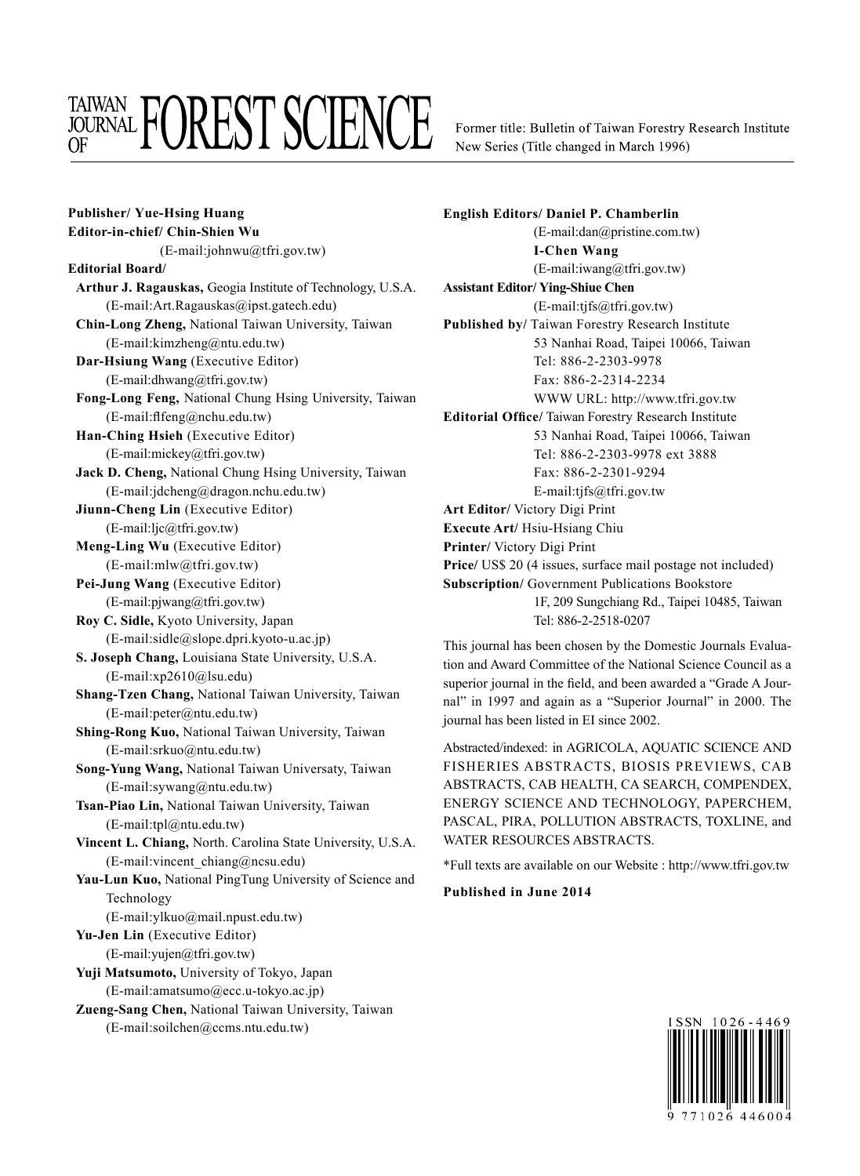## **TAIWAN FOREST SCIENCE**

Former title: Bulletin of Taiwan Forestry Research Institute New Series (Title changed in March 1996)

**Publisher/ Yue-Hsing Huang Editor-in-chief/ Chin-Shien Wu** (E-mail:johnwu@tfri.gov.tw) **Editorial Board/ Arthur J. Ragauskas,** Geogia Institute of Technology, U.S.A. (E-mail:Art.Ragauskas@ipst.gatech.edu) **Chin-Long Zheng,** National Taiwan University, Taiwan (E-mail:kimzheng@ntu.edu.tw) **Dar-Hsiung Wang** (Executive Editor) (E-mail:dhwang@tfri.gov.tw) **Fong-Long Feng,** National Chung Hsing University, Taiwan (E-mail:flfeng@nchu.edu.tw) **Han-Ching Hsieh** (Executive Editor) (E-mail:mickey@tfri.gov.tw) **Jack D. Cheng,** National Chung Hsing University, Taiwan (E-mail:jdcheng@dragon.nchu.edu.tw) **Jiunn-Cheng Lin** (Executive Editor) (E-mail:ljc@tfri.gov.tw) **Meng-Ling Wu** (Executive Editor) (E-mail:mlw@tfri.gov.tw) **Pei-Jung Wang** (Executive Editor) (E-mail:pjwang@tfri.gov.tw) **Roy C. Sidle,** Kyoto University, Japan (E-mail:sidle@slope.dpri.kyoto-u.ac.jp) **S. Joseph Chang,** Louisiana State University, U.S.A. (E-mail:xp2610@lsu.edu) **Shang-Tzen Chang,** National Taiwan University, Taiwan (E-mail:peter@ntu.edu.tw) **Shing-Rong Kuo,** National Taiwan University, Taiwan (E-mail:srkuo@ntu.edu.tw) **Song-Yung Wang,** National Taiwan Universaty, Taiwan (E-mail:sywang@ntu.edu.tw) **Tsan-Piao Lin,** National Taiwan University, Taiwan (E-mail:tpl@ntu.edu.tw) **Vincent L. Chiang,** North. Carolina State University, U.S.A. (E-mail:vincent\_chiang@ncsu.edu) **Yau-Lun Kuo,** National PingTung University of Science and Technology (E-mail:ylkuo@mail.npust.edu.tw) **Yu-Jen Lin** (Executive Editor) (E-mail:yujen@tfri.gov.tw) **Yuji Matsumoto,** University of Tokyo, Japan (E-mail:amatsumo@ecc.u-tokyo.ac.jp) **Zueng-Sang Chen,** National Taiwan University, Taiwan

(E-mail:soilchen@ccms.ntu.edu.tw)

**English Editors/ Daniel P. Chamberlin** (E-mail:dan@pristine.com.tw) **I-Chen Wang** (E-mail:iwang@tfri.gov.tw) **Assistant Editor/ Ying-Shiue Chen** (E-mail:tjfs@tfri.gov.tw) **Published by/** Taiwan Forestry Research Institute 53 Nanhai Road, Taipei 10066, Taiwan Tel: 886-2-2303-9978 Fax: 886-2-2314-2234 WWW URL: http://www.tfri.gov.tw **Editorial Office/** Taiwan Forestry Research Institute 53 Nanhai Road, Taipei 10066, Taiwan Tel: 886-2-2303-9978 ext 3888 Fax: 886-2-2301-9294 E-mail:tjfs@tfri.gov.tw **Art Editor/** Victory Digi Print **Execute Art/** Hsiu-Hsiang Chiu **Printer/** Victory Digi Print **Price/** US\$ 20 (4 issues, surface mail postage not included) **Subscription/** Government Publications Bookstore 1F, 209 Sungchiang Rd., Taipei 10485, Taiwan Tel: 886-2-2518-0207

This journal has been chosen by the Domestic Journals Evaluation and Award Committee of the National Science Council as a superior journal in the field, and been awarded a "Grade A Journal" in 1997 and again as a "Superior Journal" in 2000. The journal has been listed in EI since 2002.

Abstracted/indexed: in AGRICOLA, AQUATIC SCIENCE AND FISHERIES ABSTRACTS, BIOSIS PREVIEWS, CAB ABSTRACTS, CAB HEALTH, CA SEARCH, COMPENDEX, ENERGY SCIENCE AND TECHNOLOGY, PAPERCHEM, PASCAL, PIRA, POLLUTION ABSTRACTS, TOXLINE, and WATER RESOURCES ABSTRACTS.

\*Full texts are available on our Website : http://www.tfri.gov.tw

## **Published in June 2014**